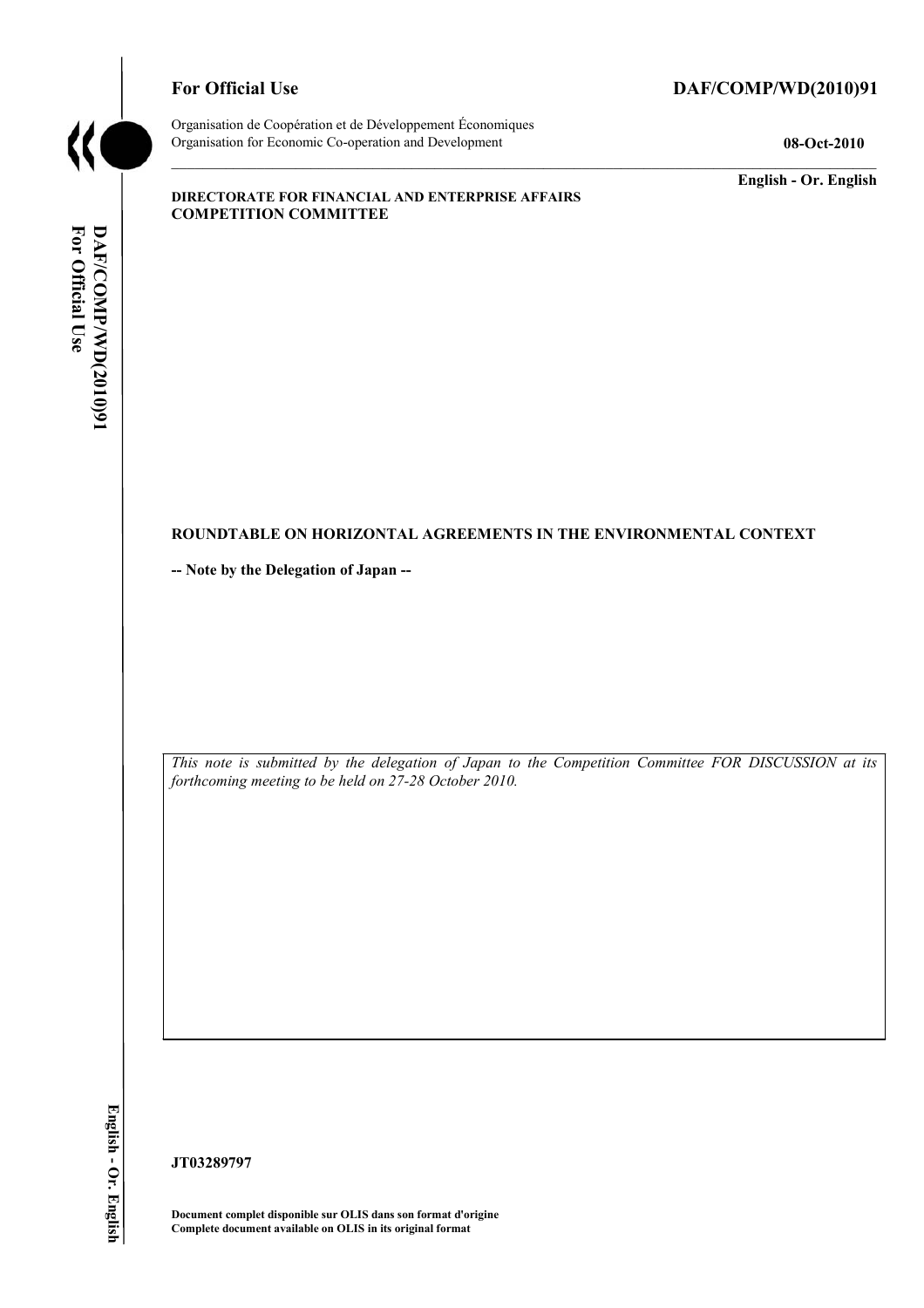

# For Official Use DAF/COMP/WD(2010)91

Organisation de Coopération et de Développement Économiques Organisation for Economic Co-operation and Development **08-Oct-2010** 

**English - Or. English** 

#### **DIRECTORATE FOR FINANCIAL AND ENTERPRISE AFFAIRS COMPETITION COMMITTEE**

# For Official Use DAF/COMP/WD(2010)91 **For Official Use DAF/COMP/WD(2010)91 English - Or. English**

#### **ROUNDTABLE ON HORIZONTAL AGREEMENTS IN THE ENVIRONMENTAL CONTEXT**

**-- Note by the Delegation of Japan --** 

*This note is submitted by the delegation of Japan to the Competition Committee FOR DISCUSSION at its forthcoming meeting to be held on 27-28 October 2010.* 

**JT03289797** 

**Document complet disponible sur OLIS dans son format d'origine Complete document available on OLIS in its original format**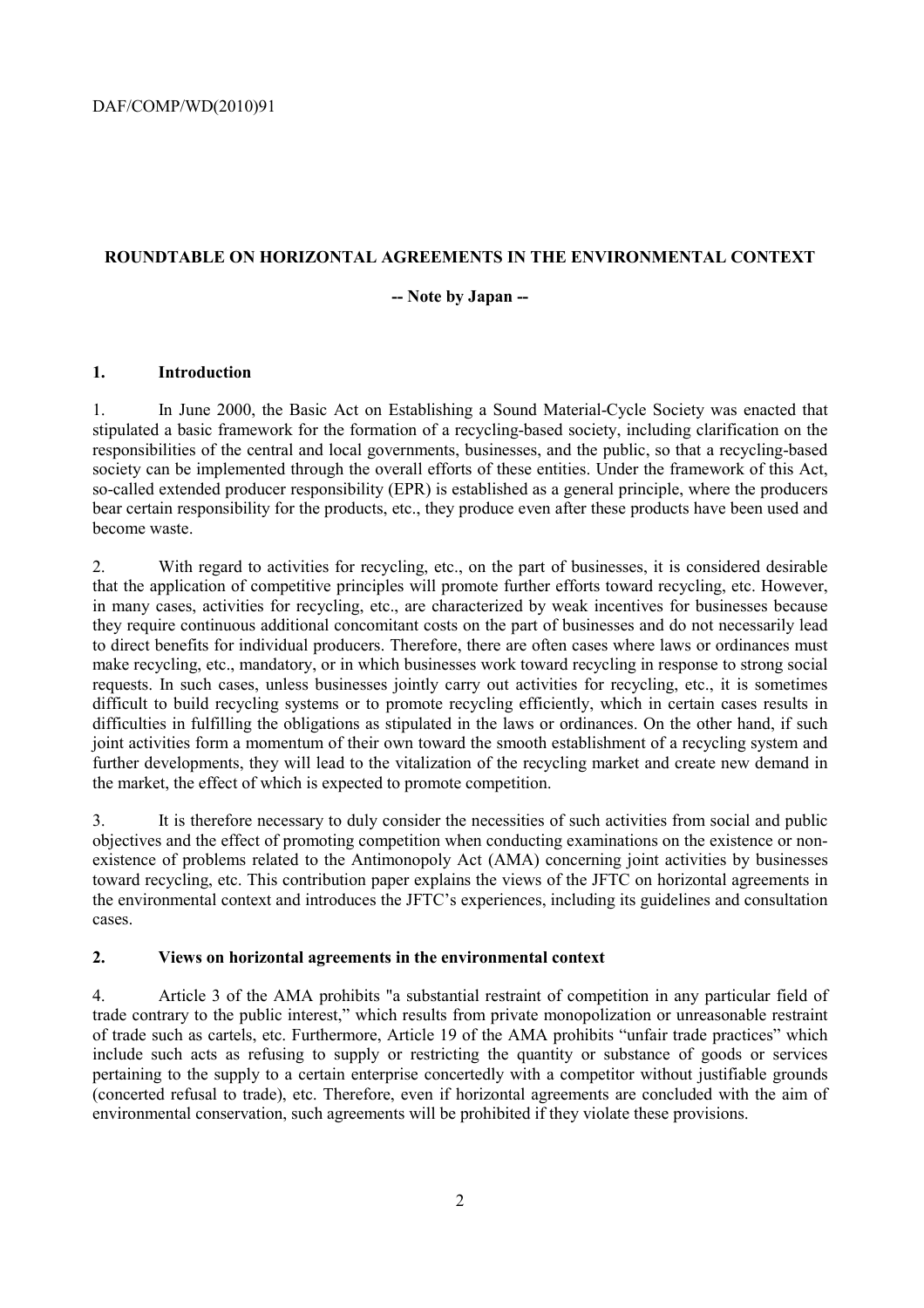# **ROUNDTABLE ON HORIZONTAL AGREEMENTS IN THE ENVIRONMENTAL CONTEXT**

## **-- Note by Japan --**

## **1. Introduction**

1. In June 2000, the Basic Act on Establishing a Sound Material-Cycle Society was enacted that stipulated a basic framework for the formation of a recycling-based society, including clarification on the responsibilities of the central and local governments, businesses, and the public, so that a recycling-based society can be implemented through the overall efforts of these entities. Under the framework of this Act, so-called extended producer responsibility (EPR) is established as a general principle, where the producers bear certain responsibility for the products, etc., they produce even after these products have been used and become waste.

2. With regard to activities for recycling, etc., on the part of businesses, it is considered desirable that the application of competitive principles will promote further efforts toward recycling, etc. However, in many cases, activities for recycling, etc., are characterized by weak incentives for businesses because they require continuous additional concomitant costs on the part of businesses and do not necessarily lead to direct benefits for individual producers. Therefore, there are often cases where laws or ordinances must make recycling, etc., mandatory, or in which businesses work toward recycling in response to strong social requests. In such cases, unless businesses jointly carry out activities for recycling, etc., it is sometimes difficult to build recycling systems or to promote recycling efficiently, which in certain cases results in difficulties in fulfilling the obligations as stipulated in the laws or ordinances. On the other hand, if such joint activities form a momentum of their own toward the smooth establishment of a recycling system and further developments, they will lead to the vitalization of the recycling market and create new demand in the market, the effect of which is expected to promote competition.

3. It is therefore necessary to duly consider the necessities of such activities from social and public objectives and the effect of promoting competition when conducting examinations on the existence or nonexistence of problems related to the Antimonopoly Act (AMA) concerning joint activities by businesses toward recycling, etc. This contribution paper explains the views of the JFTC on horizontal agreements in the environmental context and introduces the JFTC's experiences, including its guidelines and consultation cases.

#### **2. Views on horizontal agreements in the environmental context**

4. Article 3 of the AMA prohibits "a substantial restraint of competition in any particular field of trade contrary to the public interest," which results from private monopolization or unreasonable restraint of trade such as cartels, etc. Furthermore, Article 19 of the AMA prohibits "unfair trade practices" which include such acts as refusing to supply or restricting the quantity or substance of goods or services pertaining to the supply to a certain enterprise concertedly with a competitor without justifiable grounds (concerted refusal to trade), etc. Therefore, even if horizontal agreements are concluded with the aim of environmental conservation, such agreements will be prohibited if they violate these provisions.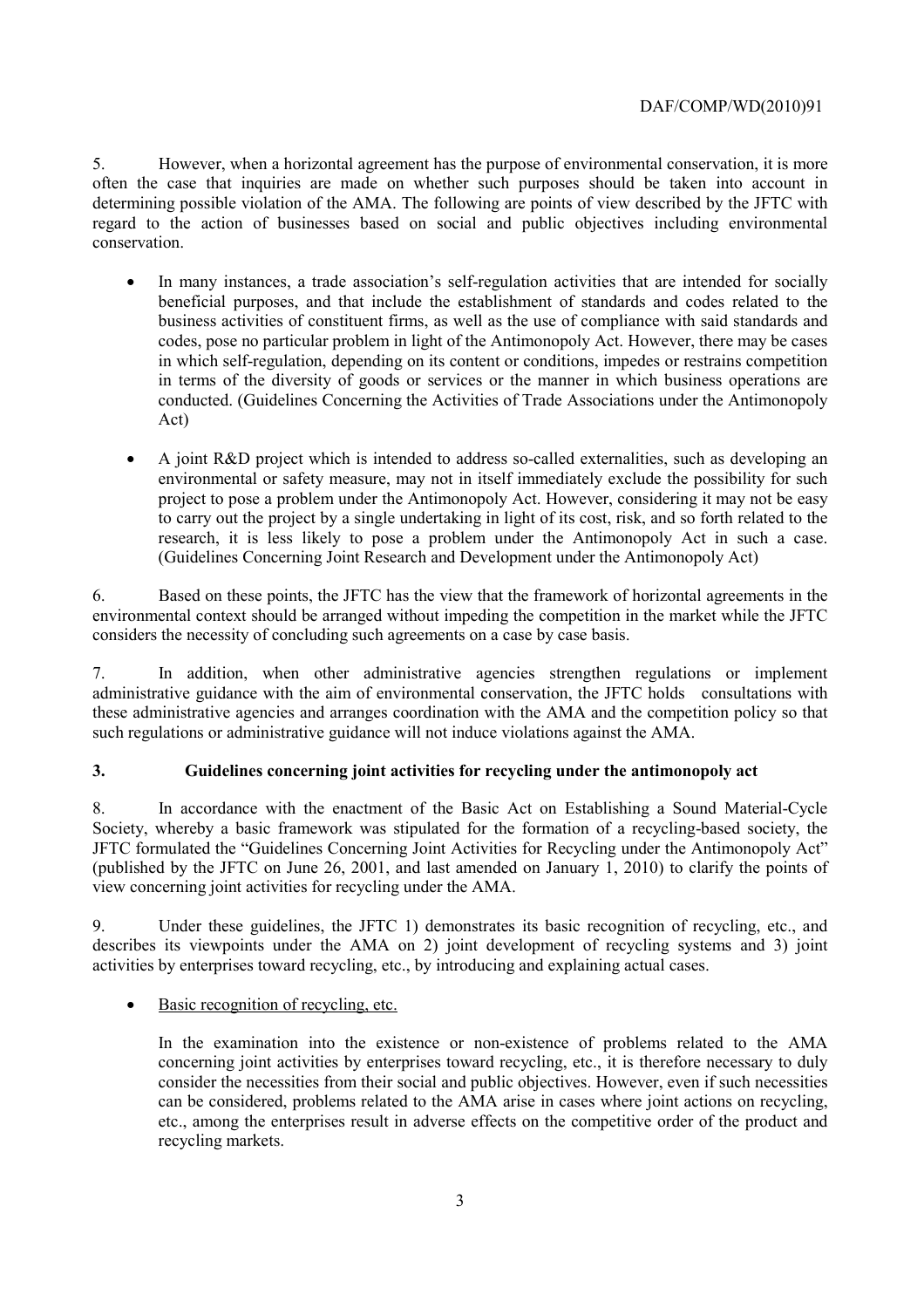5. However, when a horizontal agreement has the purpose of environmental conservation, it is more often the case that inquiries are made on whether such purposes should be taken into account in determining possible violation of the AMA. The following are points of view described by the JFTC with regard to the action of businesses based on social and public objectives including environmental conservation.

- In many instances, a trade association's self-regulation activities that are intended for socially beneficial purposes, and that include the establishment of standards and codes related to the business activities of constituent firms, as well as the use of compliance with said standards and codes, pose no particular problem in light of the Antimonopoly Act. However, there may be cases in which self-regulation, depending on its content or conditions, impedes or restrains competition in terms of the diversity of goods or services or the manner in which business operations are conducted. (Guidelines Concerning the Activities of Trade Associations under the Antimonopoly Act)
- A joint R&D project which is intended to address so-called externalities, such as developing an environmental or safety measure, may not in itself immediately exclude the possibility for such project to pose a problem under the Antimonopoly Act. However, considering it may not be easy to carry out the project by a single undertaking in light of its cost, risk, and so forth related to the research, it is less likely to pose a problem under the Antimonopoly Act in such a case. (Guidelines Concerning Joint Research and Development under the Antimonopoly Act)

6. Based on these points, the JFTC has the view that the framework of horizontal agreements in the environmental context should be arranged without impeding the competition in the market while the JFTC considers the necessity of concluding such agreements on a case by case basis.

7. In addition, when other administrative agencies strengthen regulations or implement administrative guidance with the aim of environmental conservation, the JFTC holds consultations with these administrative agencies and arranges coordination with the AMA and the competition policy so that such regulations or administrative guidance will not induce violations against the AMA.

# **3. Guidelines concerning joint activities for recycling under the antimonopoly act**

8. In accordance with the enactment of the Basic Act on Establishing a Sound Material-Cycle Society, whereby a basic framework was stipulated for the formation of a recycling-based society, the JFTC formulated the "Guidelines Concerning Joint Activities for Recycling under the Antimonopoly Act" (published by the JFTC on June 26, 2001, and last amended on January 1, 2010) to clarify the points of view concerning joint activities for recycling under the AMA.

9. Under these guidelines, the JFTC 1) demonstrates its basic recognition of recycling, etc., and describes its viewpoints under the AMA on 2) joint development of recycling systems and 3) joint activities by enterprises toward recycling, etc., by introducing and explaining actual cases.

# • Basic recognition of recycling, etc.

In the examination into the existence or non-existence of problems related to the AMA concerning joint activities by enterprises toward recycling, etc., it is therefore necessary to duly consider the necessities from their social and public objectives. However, even if such necessities can be considered, problems related to the AMA arise in cases where joint actions on recycling, etc., among the enterprises result in adverse effects on the competitive order of the product and recycling markets.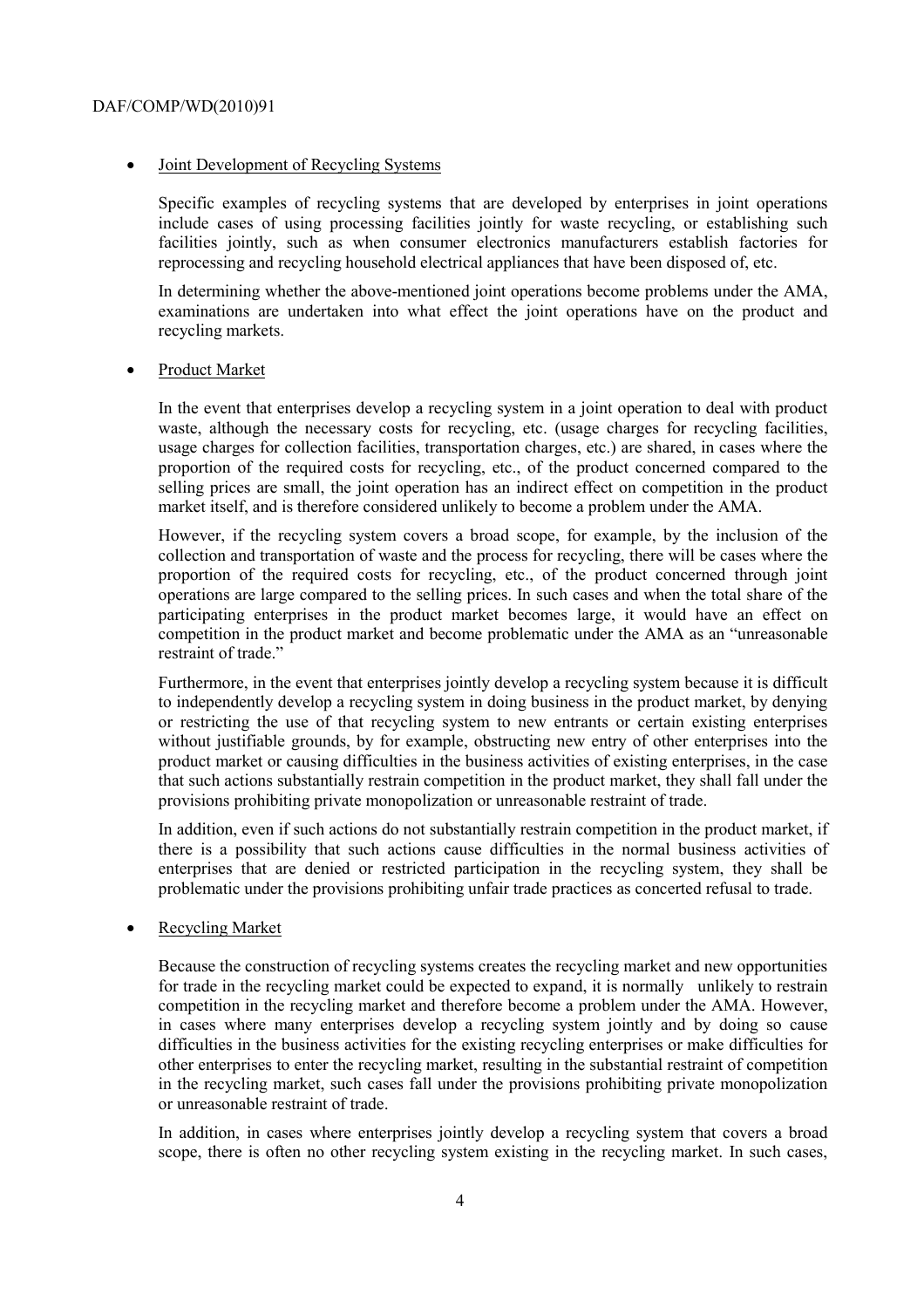#### • Joint Development of Recycling Systems

Specific examples of recycling systems that are developed by enterprises in joint operations include cases of using processing facilities jointly for waste recycling, or establishing such facilities jointly, such as when consumer electronics manufacturers establish factories for reprocessing and recycling household electrical appliances that have been disposed of, etc.

In determining whether the above-mentioned joint operations become problems under the AMA, examinations are undertaken into what effect the joint operations have on the product and recycling markets.

#### Product Market

In the event that enterprises develop a recycling system in a joint operation to deal with product waste, although the necessary costs for recycling, etc. (usage charges for recycling facilities, usage charges for collection facilities, transportation charges, etc.) are shared, in cases where the proportion of the required costs for recycling, etc., of the product concerned compared to the selling prices are small, the joint operation has an indirect effect on competition in the product market itself, and is therefore considered unlikely to become a problem under the AMA.

However, if the recycling system covers a broad scope, for example, by the inclusion of the collection and transportation of waste and the process for recycling, there will be cases where the proportion of the required costs for recycling, etc., of the product concerned through joint operations are large compared to the selling prices. In such cases and when the total share of the participating enterprises in the product market becomes large, it would have an effect on competition in the product market and become problematic under the AMA as an "unreasonable restraint of trade."

Furthermore, in the event that enterprises jointly develop a recycling system because it is difficult to independently develop a recycling system in doing business in the product market, by denying or restricting the use of that recycling system to new entrants or certain existing enterprises without justifiable grounds, by for example, obstructing new entry of other enterprises into the product market or causing difficulties in the business activities of existing enterprises, in the case that such actions substantially restrain competition in the product market, they shall fall under the provisions prohibiting private monopolization or unreasonable restraint of trade.

In addition, even if such actions do not substantially restrain competition in the product market, if there is a possibility that such actions cause difficulties in the normal business activities of enterprises that are denied or restricted participation in the recycling system, they shall be problematic under the provisions prohibiting unfair trade practices as concerted refusal to trade.

#### • Recycling Market

Because the construction of recycling systems creates the recycling market and new opportunities for trade in the recycling market could be expected to expand, it is normally unlikely to restrain competition in the recycling market and therefore become a problem under the AMA. However, in cases where many enterprises develop a recycling system jointly and by doing so cause difficulties in the business activities for the existing recycling enterprises or make difficulties for other enterprises to enter the recycling market, resulting in the substantial restraint of competition in the recycling market, such cases fall under the provisions prohibiting private monopolization or unreasonable restraint of trade.

In addition, in cases where enterprises jointly develop a recycling system that covers a broad scope, there is often no other recycling system existing in the recycling market. In such cases,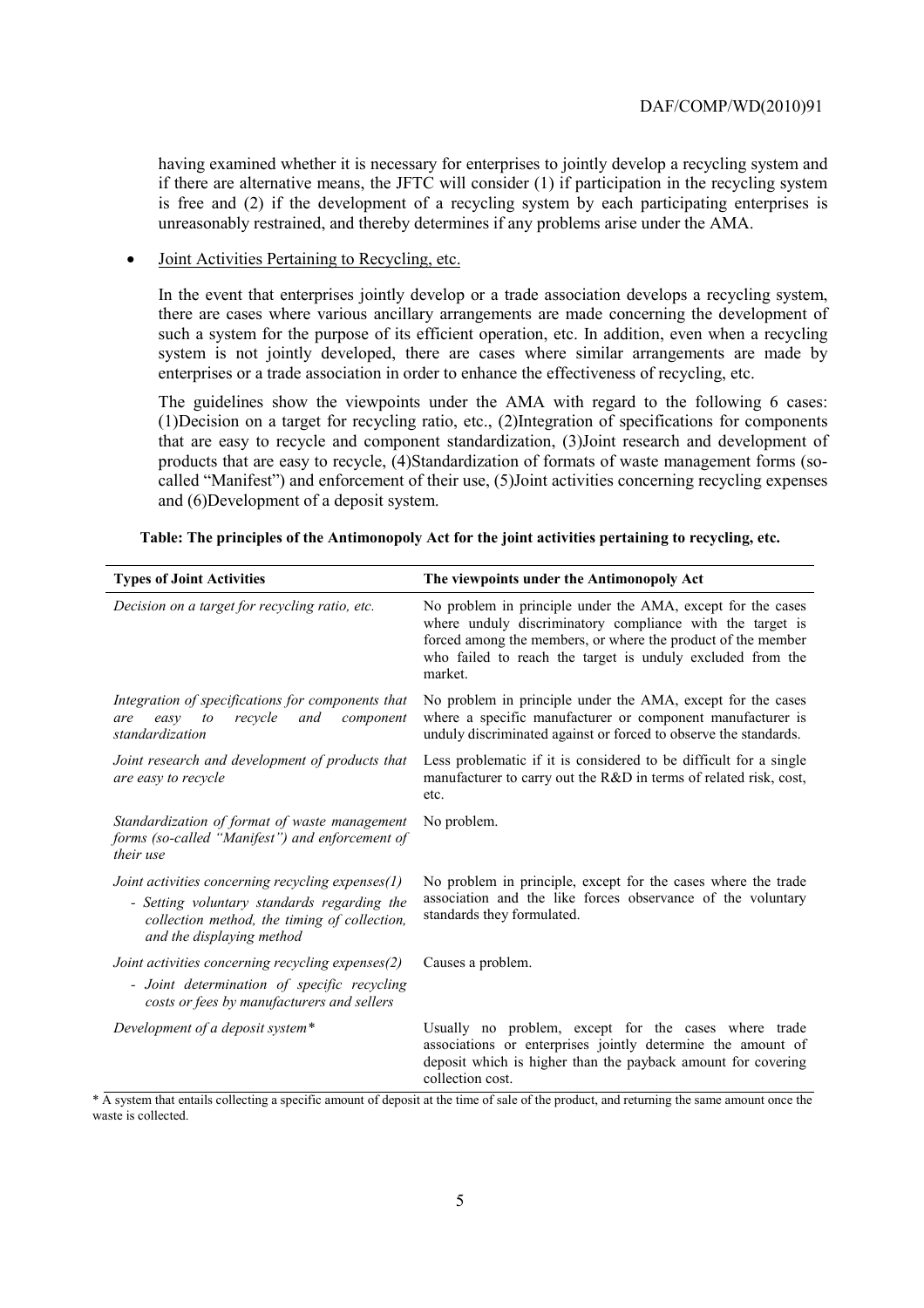having examined whether it is necessary for enterprises to jointly develop a recycling system and if there are alternative means, the JFTC will consider (1) if participation in the recycling system is free and (2) if the development of a recycling system by each participating enterprises is unreasonably restrained, and thereby determines if any problems arise under the AMA.

#### • Joint Activities Pertaining to Recycling, etc.

In the event that enterprises jointly develop or a trade association develops a recycling system, there are cases where various ancillary arrangements are made concerning the development of such a system for the purpose of its efficient operation, etc. In addition, even when a recycling system is not jointly developed, there are cases where similar arrangements are made by enterprises or a trade association in order to enhance the effectiveness of recycling, etc.

The guidelines show the viewpoints under the AMA with regard to the following 6 cases: (1)Decision on a target for recycling ratio, etc., (2)Integration of specifications for components that are easy to recycle and component standardization, (3)Joint research and development of products that are easy to recycle, (4)Standardization of formats of waste management forms (socalled "Manifest") and enforcement of their use, (5)Joint activities concerning recycling expenses and (6)Development of a deposit system.

| <b>Types of Joint Activities</b>                                                                                                               | The viewpoints under the Antimonopoly Act                                                                                                                                                                                                                         |
|------------------------------------------------------------------------------------------------------------------------------------------------|-------------------------------------------------------------------------------------------------------------------------------------------------------------------------------------------------------------------------------------------------------------------|
| Decision on a target for recycling ratio, etc.                                                                                                 | No problem in principle under the AMA, except for the cases<br>where unduly discriminatory compliance with the target is<br>forced among the members, or where the product of the member<br>who failed to reach the target is unduly excluded from the<br>market. |
| Integration of specifications for components that<br>recycle<br>and<br>easy<br>to<br>component<br>are<br>standardization                       | No problem in principle under the AMA, except for the cases<br>where a specific manufacturer or component manufacturer is<br>unduly discriminated against or forced to observe the standards.                                                                     |
| Joint research and development of products that<br>are easy to recycle                                                                         | Less problematic if it is considered to be difficult for a single<br>manufacturer to carry out the R&D in terms of related risk, cost,<br>etc.                                                                                                                    |
| Standardization of format of waste management<br>forms (so-called "Manifest") and enforcement of<br>their use                                  | No problem.                                                                                                                                                                                                                                                       |
| Joint activities concerning recycling expenses $(1)$                                                                                           | No problem in principle, except for the cases where the trade<br>association and the like forces observance of the voluntary<br>standards they formulated.                                                                                                        |
| - Setting voluntary standards regarding the<br>collection method, the timing of collection,<br>and the displaying method                       |                                                                                                                                                                                                                                                                   |
| Joint activities concerning recycling expenses(2)<br>- Joint determination of specific recycling<br>costs or fees by manufacturers and sellers | Causes a problem.                                                                                                                                                                                                                                                 |
| Development of a deposit system*                                                                                                               | Usually no problem, except for the cases where trade<br>associations or enterprises jointly determine the amount of<br>deposit which is higher than the payback amount for covering<br>collection cost.                                                           |

**Table: The principles of the Antimonopoly Act for the joint activities pertaining to recycling, etc.** 

\* A system that entails collecting a specific amount of deposit at the time of sale of the product, and returning the same amount once the waste is collected.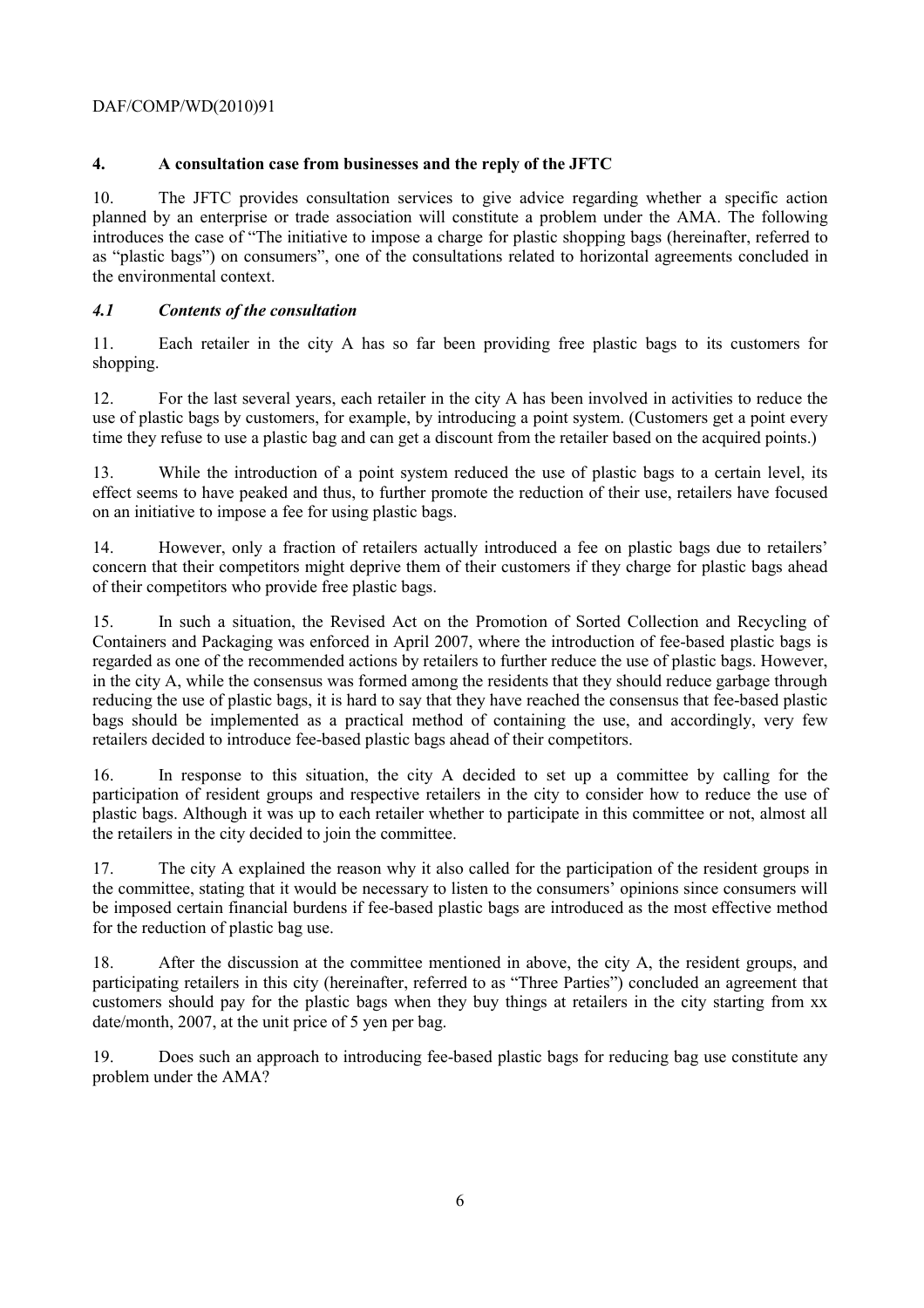# **4. A consultation case from businesses and the reply of the JFTC**

10. The JFTC provides consultation services to give advice regarding whether a specific action planned by an enterprise or trade association will constitute a problem under the AMA. The following introduces the case of "The initiative to impose a charge for plastic shopping bags (hereinafter, referred to as "plastic bags") on consumers", one of the consultations related to horizontal agreements concluded in the environmental context.

# *4.1 Contents of the consultation*

11. Each retailer in the city A has so far been providing free plastic bags to its customers for shopping.

12. For the last several years, each retailer in the city A has been involved in activities to reduce the use of plastic bags by customers, for example, by introducing a point system. (Customers get a point every time they refuse to use a plastic bag and can get a discount from the retailer based on the acquired points.)

13. While the introduction of a point system reduced the use of plastic bags to a certain level, its effect seems to have peaked and thus, to further promote the reduction of their use, retailers have focused on an initiative to impose a fee for using plastic bags.

14. However, only a fraction of retailers actually introduced a fee on plastic bags due to retailers' concern that their competitors might deprive them of their customers if they charge for plastic bags ahead of their competitors who provide free plastic bags.

15. In such a situation, the Revised Act on the Promotion of Sorted Collection and Recycling of Containers and Packaging was enforced in April 2007, where the introduction of fee-based plastic bags is regarded as one of the recommended actions by retailers to further reduce the use of plastic bags. However, in the city A, while the consensus was formed among the residents that they should reduce garbage through reducing the use of plastic bags, it is hard to say that they have reached the consensus that fee-based plastic bags should be implemented as a practical method of containing the use, and accordingly, very few retailers decided to introduce fee-based plastic bags ahead of their competitors.

16. In response to this situation, the city A decided to set up a committee by calling for the participation of resident groups and respective retailers in the city to consider how to reduce the use of plastic bags. Although it was up to each retailer whether to participate in this committee or not, almost all the retailers in the city decided to join the committee.

17. The city A explained the reason why it also called for the participation of the resident groups in the committee, stating that it would be necessary to listen to the consumers' opinions since consumers will be imposed certain financial burdens if fee-based plastic bags are introduced as the most effective method for the reduction of plastic bag use.

18. After the discussion at the committee mentioned in above, the city A, the resident groups, and participating retailers in this city (hereinafter, referred to as "Three Parties") concluded an agreement that customers should pay for the plastic bags when they buy things at retailers in the city starting from xx date/month, 2007, at the unit price of 5 yen per bag.

19. Does such an approach to introducing fee-based plastic bags for reducing bag use constitute any problem under the AMA?